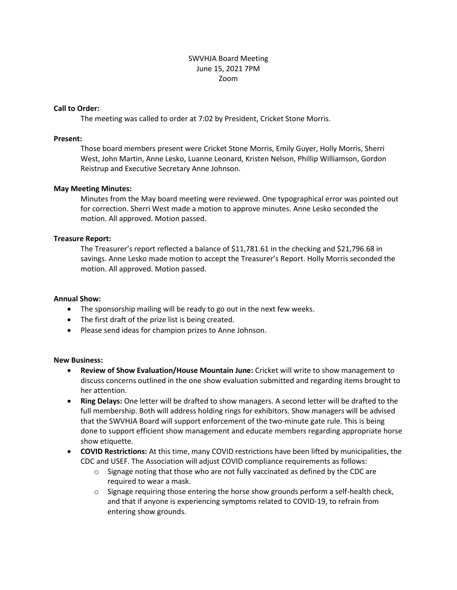# SWVHJA Board Meeting June 15, 2021 7PM Zoom

### **Call to Order:**

The meeting was called to order at 7:02 by President, Cricket Stone Morris.

### **Present:**

Those board members present were Cricket Stone Morris, Emily Guyer, Holly Morris, Sherri West, John Martin, Anne Lesko, Luanne Leonard, Kristen Nelson, Phillip Williamson, Gordon Reistrup and Executive Secretary Anne Johnson.

## **May Meeting Minutes:**

Minutes from the May board meeting were reviewed. One typographical error was pointed out for correction. Sherri West made a motion to approve minutes. Anne Lesko seconded the motion. All approved. Motion passed.

## **Treasure Report:**

The Treasurer's report reflected a balance of \$11,781.61 in the checking and \$21,796.68 in savings. Anne Lesko made motion to accept the Treasurer's Report. Holly Morris seconded the motion. All approved. Motion passed.

### **Annual Show:**

- The sponsorship mailing will be ready to go out in the next few weeks.
- The first draft of the prize list is being created.
- Please send ideas for champion prizes to Anne Johnson.

#### **New Business:**

- **Review of Show Evaluation/House Mountain June:** Cricket will write to show management to discuss concerns outlined in the one show evaluation submitted and regarding items brought to her attention.
- **Ring Delays:** One letter will be drafted to show managers. A second letter will be drafted to the full membership. Both will address holding rings for exhibitors. Show managers will be advised that the SWVHJA Board will support enforcement of the two-minute gate rule. This is being done to support efficient show management and educate members regarding appropriate horse show etiquette.
- **COVID Restrictions:** At this time, many COVID restrictions have been lifted by municipalities, the CDC and USEF. The Association will adjust COVID compliance requirements as follows:
	- $\circ$  Signage noting that those who are not fully vaccinated as defined by the CDC are required to wear a mask.
	- $\circ$  Signage requiring those entering the horse show grounds perform a self-health check, and that if anyone is experiencing symptoms related to COVID-19, to refrain from entering show grounds.